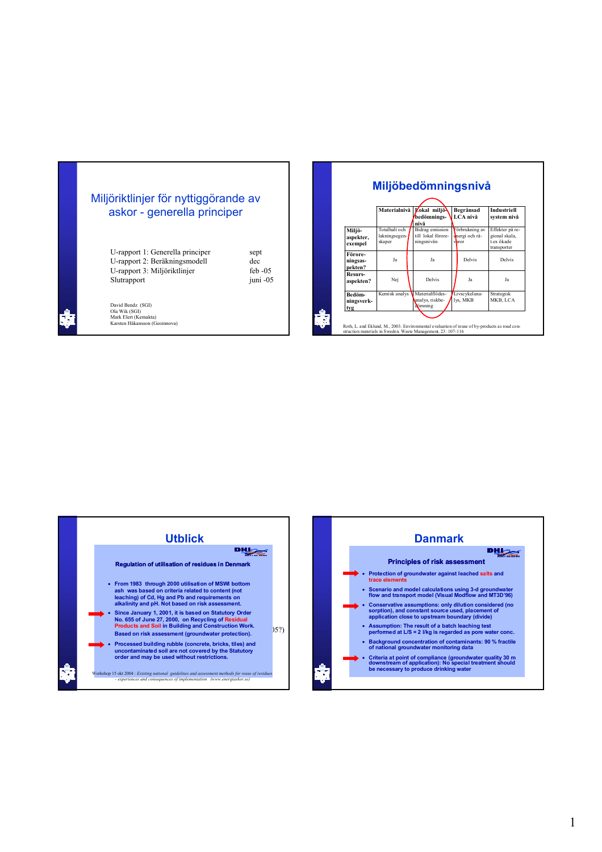## Miljöriktlinjer för nyttiggörande av askor - generella principer

| U-rapport 1: Generella principer | sept      |
|----------------------------------|-----------|
| U-rapport 2: Beräkningsmodell    | dec       |
| U-rapport 3: Miljöriktlinjer     | feb $-05$ |
| Slutrapport                      | juni -05  |

juni -05

David Bendz (SGI) Ola Wik (SGI) Mark Elert (Kemakta) Karsten Håkansson (Geoinnova)

|                                | Materialnivå                             |  | Lokal miljö<br>bedömnings-<br>nivå                         |  | Begränsad<br>LCA nivå                     | <b>Industriell</b><br>system nivå                             |  |
|--------------------------------|------------------------------------------|--|------------------------------------------------------------|--|-------------------------------------------|---------------------------------------------------------------|--|
| Miljö-<br>aspekter,<br>exempel | Totalhalt och<br>lakningsegen-<br>skaper |  | <b>Bidrag</b> emission<br>till lokal förore-<br>ningsnivån |  | Förbrukning av<br>energi och rå-<br>varor | Effekter på re-<br>gional skala,<br>t ex ökade<br>transporter |  |
| Förore-<br>ningsas-<br>pekten? | Ja                                       |  | Ja                                                         |  | Delvis                                    | Delvis                                                        |  |
| Resurs-<br>aspekten?           | Nej                                      |  | Delvis                                                     |  | Ja                                        | Ja                                                            |  |
| Bedöm-<br>ningsverk-<br>tvg    | Kemisk analys                            |  | Materialflödes-<br>analys. riskbe-<br>dömning              |  | Livscykelana-<br>lvs. MKB                 | <b>Strategisk</b><br>MKB. LCA                                 |  |



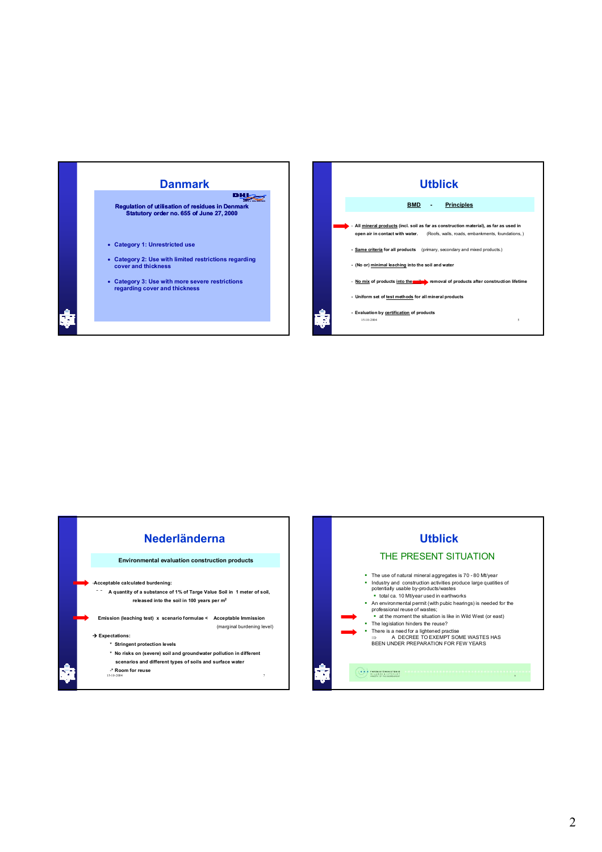





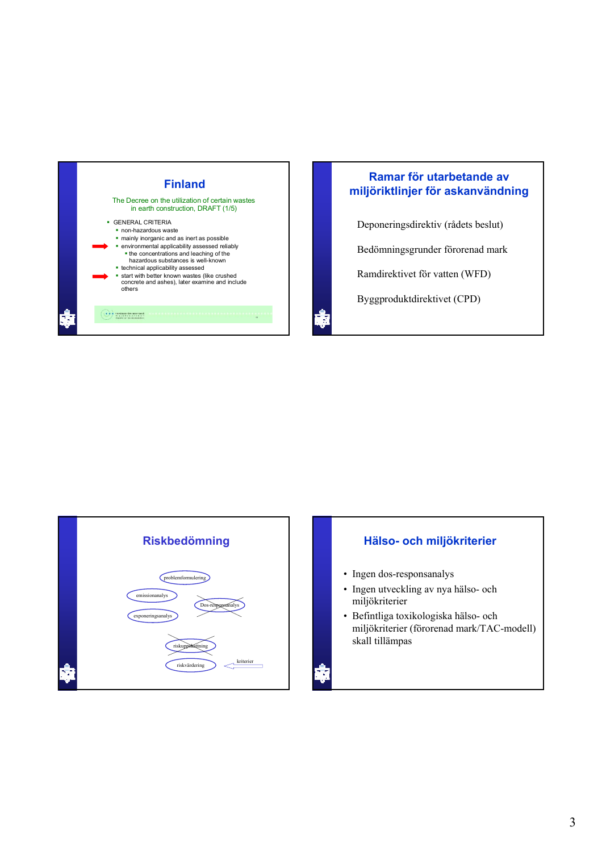

## **Finland Ramar för utarbetande av miljöriktlinjer för askanvändning**

Deponeringsdirektiv (rådets beslut)

Bedömningsgrunder förorenad mark

Ramdirektivet för vatten (WFD)

Byggproduktdirektivet (CPD)



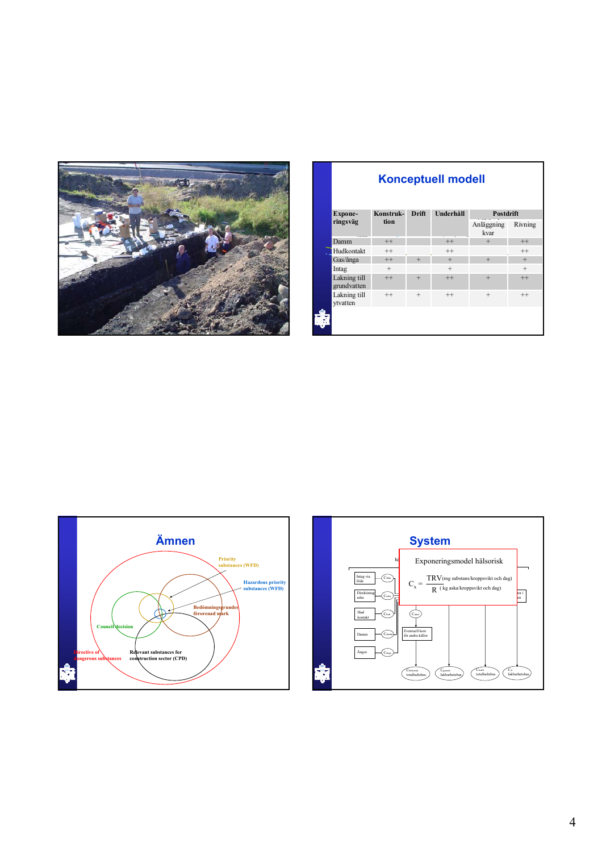

| <b>Konceptuell modell</b>   |           |              |           |                    |         |  |  |  |  |  |
|-----------------------------|-----------|--------------|-----------|--------------------|---------|--|--|--|--|--|
| Expone-                     | Konstruk- | <b>Drift</b> | Underhåll | Postdrift          |         |  |  |  |  |  |
| ringsväg                    | tion      |              |           | Anläggning<br>kvar | Rivning |  |  |  |  |  |
| Damm                        | $^{++}$   |              | $^{++}$   | $+$                | $^{++}$ |  |  |  |  |  |
| Hudkontakt                  | $^{++}$   |              | $^{++}$   |                    | $^{++}$ |  |  |  |  |  |
| Gas/ånga                    | $++$      | $+$          | $+$       | $+$                | $+$     |  |  |  |  |  |
| Intag                       | $^{+}$    |              | $+$       |                    | $+$     |  |  |  |  |  |
| Lakning till<br>grundvatten | $++$      | $+$          | $++$      | $+$                | $++$    |  |  |  |  |  |
| Lakning till<br>vtvatten    | $^{++}$   | $^{+}$       | $^{++}$   | $^{+}$             | $^{++}$ |  |  |  |  |  |
|                             |           |              |           |                    |         |  |  |  |  |  |